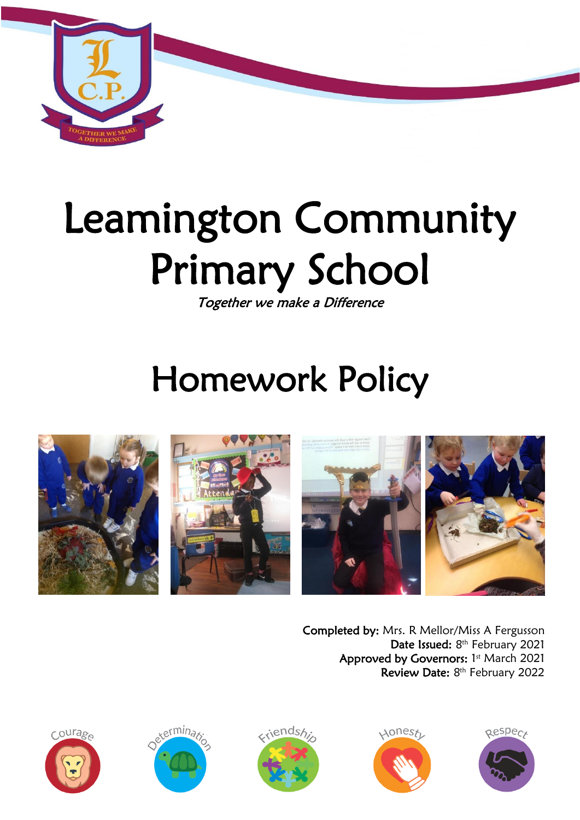

# Leamington Community Primary School

Together we make a Difference

## Homework Policy







Completed by: Mrs. R Mellor/Miss A Fergusson Date Issued: 8<sup>th</sup> February 2021 Approved by Governors: 1st March 2021 Review Date: 8<sup>th</sup> February 2022









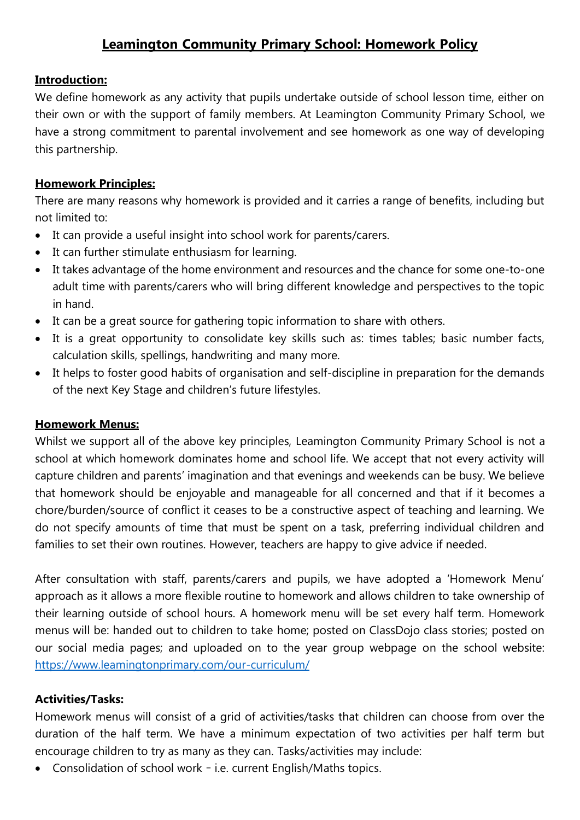### **Leamington Community Primary School: Homework Policy**

#### **Introduction:**

We define homework as any activity that pupils undertake outside of school lesson time, either on their own or with the support of family members. At Leamington Community Primary School, we have a strong commitment to parental involvement and see homework as one way of developing this partnership.

#### **Homework Principles:**

There are many reasons why homework is provided and it carries a range of benefits, including but not limited to:

- It can provide a useful insight into school work for parents/carers.
- It can further stimulate enthusiasm for learning.
- It takes advantage of the home environment and resources and the chance for some one-to-one adult time with parents/carers who will bring different knowledge and perspectives to the topic in hand.
- It can be a great source for gathering topic information to share with others.
- It is a great opportunity to consolidate key skills such as: times tables; basic number facts, calculation skills, spellings, handwriting and many more.
- It helps to foster good habits of organisation and self-discipline in preparation for the demands of the next Key Stage and children's future lifestyles.

#### **Homework Menus:**

Whilst we support all of the above key principles, Leamington Community Primary School is not a school at which homework dominates home and school life. We accept that not every activity will capture children and parents' imagination and that evenings and weekends can be busy. We believe that homework should be enjoyable and manageable for all concerned and that if it becomes a chore/burden/source of conflict it ceases to be a constructive aspect of teaching and learning. We do not specify amounts of time that must be spent on a task, preferring individual children and families to set their own routines. However, teachers are happy to give advice if needed.

After consultation with staff, parents/carers and pupils, we have adopted a 'Homework Menu' approach as it allows a more flexible routine to homework and allows children to take ownership of their learning outside of school hours. A homework menu will be set every half term. Homework menus will be: handed out to children to take home; posted on ClassDojo class stories; posted on our social media pages; and uploaded on to the year group webpage on the school website: <https://www.leamingtonprimary.com/our-curriculum/>

#### **Activities/Tasks:**

Homework menus will consist of a grid of activities/tasks that children can choose from over the duration of the half term. We have a minimum expectation of two activities per half term but encourage children to try as many as they can. Tasks/activities may include:

Consolidation of school work – i.e. current English/Maths topics.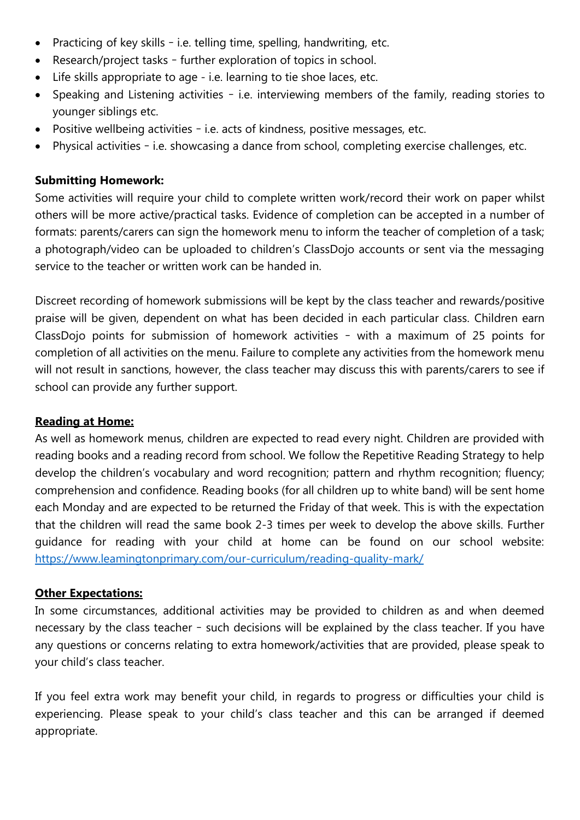- Practicing of key skills i.e. telling time, spelling, handwriting, etc.
- Research/project tasks further exploration of topics in school.
- Life skills appropriate to age i.e. learning to tie shoe laces, etc.
- Speaking and Listening activities i.e. interviewing members of the family, reading stories to younger siblings etc.
- Positive wellbeing activities i.e. acts of kindness, positive messages, etc.
- Physical activities i.e. showcasing a dance from school, completing exercise challenges, etc.

#### **Submitting Homework:**

Some activities will require your child to complete written work/record their work on paper whilst others will be more active/practical tasks. Evidence of completion can be accepted in a number of formats: parents/carers can sign the homework menu to inform the teacher of completion of a task; a photograph/video can be uploaded to children's ClassDojo accounts or sent via the messaging service to the teacher or written work can be handed in.

Discreet recording of homework submissions will be kept by the class teacher and rewards/positive praise will be given, dependent on what has been decided in each particular class. Children earn ClassDojo points for submission of homework activities – with a maximum of 25 points for completion of all activities on the menu. Failure to complete any activities from the homework menu will not result in sanctions, however, the class teacher may discuss this with parents/carers to see if school can provide any further support.

#### **Reading at Home:**

As well as homework menus, children are expected to read every night. Children are provided with reading books and a reading record from school. We follow the Repetitive Reading Strategy to help develop the children's vocabulary and word recognition; pattern and rhythm recognition; fluency; comprehension and confidence. Reading books (for all children up to white band) will be sent home each Monday and are expected to be returned the Friday of that week. This is with the expectation that the children will read the same book 2-3 times per week to develop the above skills. Further guidance for reading with your child at home can be found on our school website: <https://www.leamingtonprimary.com/our-curriculum/reading-quality-mark/>

#### **Other Expectations:**

In some circumstances, additional activities may be provided to children as and when deemed necessary by the class teacher – such decisions will be explained by the class teacher. If you have any questions or concerns relating to extra homework/activities that are provided, please speak to your child's class teacher.

If you feel extra work may benefit your child, in regards to progress or difficulties your child is experiencing. Please speak to your child's class teacher and this can be arranged if deemed appropriate.